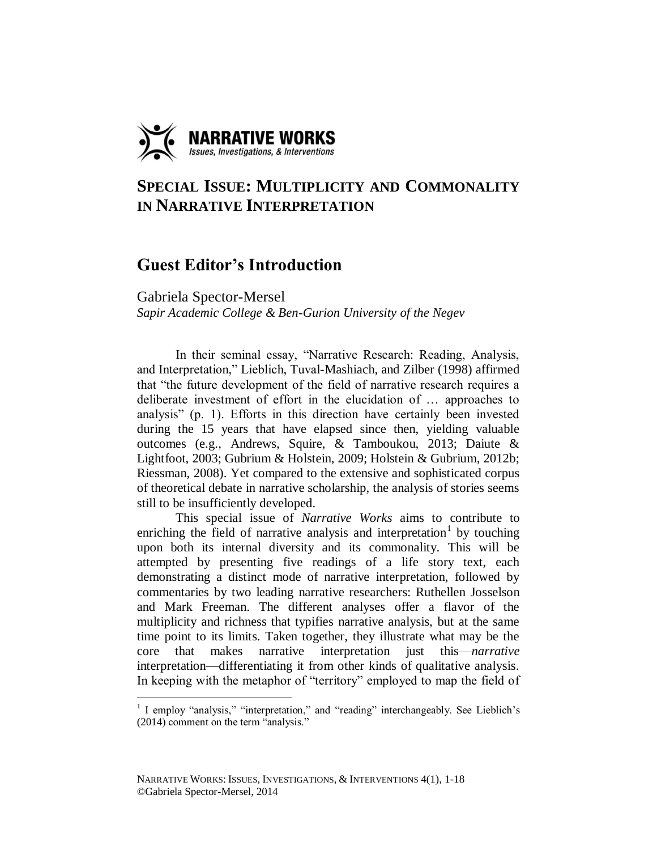

# **SPECIAL ISSUE: MULTIPLICITY AND COMMONALITY IN NARRATIVE INTERPRETATION**

# **Guest Editor's Introduction**

Gabriela Spector-Mersel

*Sapir Academic College & Ben-Gurion University of the Negev*

In their seminal essay, "Narrative Research: Reading, Analysis, and Interpretation," Lieblich, Tuval-Mashiach, and Zilber (1998) affirmed that "the future development of the field of narrative research requires a deliberate investment of effort in the elucidation of … approaches to analysis" (p. 1). Efforts in this direction have certainly been invested during the 15 years that have elapsed since then, yielding valuable outcomes (e.g., Andrews, Squire, & Tamboukou, 2013; Daiute & Lightfoot, 2003; Gubrium & Holstein, 2009; Holstein & Gubrium, 2012b; Riessman, 2008). Yet compared to the extensive and sophisticated corpus of theoretical debate in narrative scholarship, the analysis of stories seems still to be insufficiently developed.

This special issue of *Narrative Works* aims to contribute to enriching the field of narrative analysis and interpretation<sup>1</sup> by touching upon both its internal diversity and its commonality. This will be attempted by presenting five readings of a life story text, each demonstrating a distinct mode of narrative interpretation, followed by commentaries by two leading narrative researchers: Ruthellen Josselson and Mark Freeman. The different analyses offer a flavor of the multiplicity and richness that typifies narrative analysis, but at the same time point to its limits. Taken together, they illustrate what may be the core that makes narrative interpretation just this—*narrative* interpretation—differentiating it from other kinds of qualitative analysis. In keeping with the metaphor of "territory" employed to map the field of

 1 I employ "analysis," "interpretation," and "reading" interchangeably. See Lieblich's (2014) comment on the term "analysis."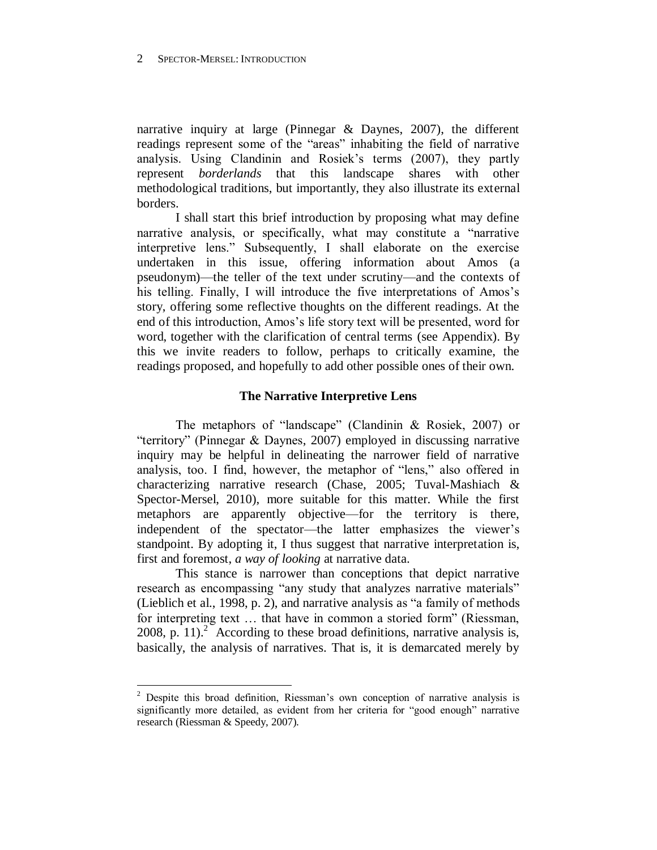narrative inquiry at large (Pinnegar & Daynes, 2007), the different readings represent some of the "areas" inhabiting the field of narrative analysis. Using Clandinin and Rosiek's terms (2007), they partly represent *borderlands* that this landscape shares with other methodological traditions, but importantly, they also illustrate its external borders.

I shall start this brief introduction by proposing what may define narrative analysis, or specifically, what may constitute a "narrative interpretive lens." Subsequently, I shall elaborate on the exercise undertaken in this issue, offering information about Amos (a pseudonym)—the teller of the text under scrutiny—and the contexts of his telling. Finally, I will introduce the five interpretations of Amos's story, offering some reflective thoughts on the different readings. At the end of this introduction, Amos's life story text will be presented, word for word, together with the clarification of central terms (see Appendix). By this we invite readers to follow, perhaps to critically examine, the readings proposed, and hopefully to add other possible ones of their own.

## **The Narrative Interpretive Lens**

The metaphors of "landscape" (Clandinin & Rosiek, 2007) or "territory" (Pinnegar & Daynes, 2007) employed in discussing narrative inquiry may be helpful in delineating the narrower field of narrative analysis, too. I find, however, the metaphor of "lens," also offered in characterizing narrative research (Chase, 2005; Tuval-Mashiach & Spector-Mersel, 2010), more suitable for this matter. While the first metaphors are apparently objective—for the territory is there, independent of the spectator—the latter emphasizes the viewer's standpoint. By adopting it, I thus suggest that narrative interpretation is, first and foremost, *a way of looking* at narrative data.

This stance is narrower than conceptions that depict narrative research as encompassing "any study that analyzes narrative materials" (Lieblich et al., 1998, p. 2), and narrative analysis as "a family of methods for interpreting text … that have in common a storied form" (Riessman, 2008, p.  $11$ ).<sup>2</sup> According to these broad definitions, narrative analysis is, basically, the analysis of narratives. That is, it is demarcated merely by

 $2$  Despite this broad definition, Riessman's own conception of narrative analysis is significantly more detailed, as evident from her criteria for "good enough" narrative research (Riessman & Speedy, 2007).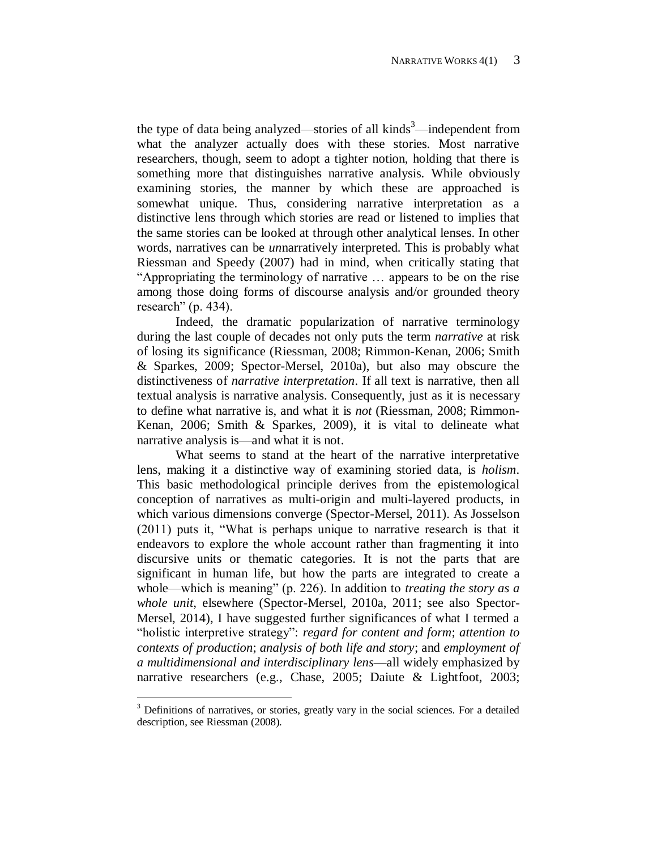the type of data being analyzed—stories of all kinds $3$ —independent from what the analyzer actually does with these stories. Most narrative researchers, though, seem to adopt a tighter notion, holding that there is something more that distinguishes narrative analysis. While obviously examining stories, the manner by which these are approached is somewhat unique. Thus, considering narrative interpretation as a distinctive lens through which stories are read or listened to implies that the same stories can be looked at through other analytical lenses. In other words, narratives can be *un*narratively interpreted. This is probably what Riessman and Speedy (2007) had in mind, when critically stating that "Appropriating the terminology of narrative … appears to be on the rise among those doing forms of discourse analysis and/or grounded theory research" (p. 434).

Indeed, the dramatic popularization of narrative terminology during the last couple of decades not only puts the term *narrative* at risk of losing its significance (Riessman, 2008; Rimmon-Kenan, 2006; Smith & Sparkes, 2009; Spector-Mersel, 2010a), but also may obscure the distinctiveness of *narrative interpretation*. If all text is narrative, then all textual analysis is narrative analysis. Consequently, just as it is necessary to define what narrative is, and what it is *not* (Riessman, 2008; Rimmon-Kenan, 2006; Smith & Sparkes, 2009), it is vital to delineate what narrative analysis is—and what it is not.

What seems to stand at the heart of the narrative interpretative lens, making it a distinctive way of examining storied data, is *holism*. This basic methodological principle derives from the epistemological conception of narratives as multi-origin and multi-layered products, in which various dimensions converge (Spector-Mersel, 2011). As Josselson (2011) puts it, "What is perhaps unique to narrative research is that it endeavors to explore the whole account rather than fragmenting it into discursive units or thematic categories. It is not the parts that are significant in human life, but how the parts are integrated to create a whole—which is meaning" (p. 226). In addition to *treating the story as a whole unit*, elsewhere (Spector-Mersel, 2010a, 2011; see also Spector-Mersel, 2014), I have suggested further significances of what I termed a "holistic interpretive strategy": *regard for content and form*; *attention to contexts of production*; *analysis of both life and story*; and *employment of a multidimensional and interdisciplinary lens*—all widely emphasized by narrative researchers (e.g., Chase, 2005; Daiute & Lightfoot, 2003;

 $3$  Definitions of narratives, or stories, greatly vary in the social sciences. For a detailed description, see Riessman (2008).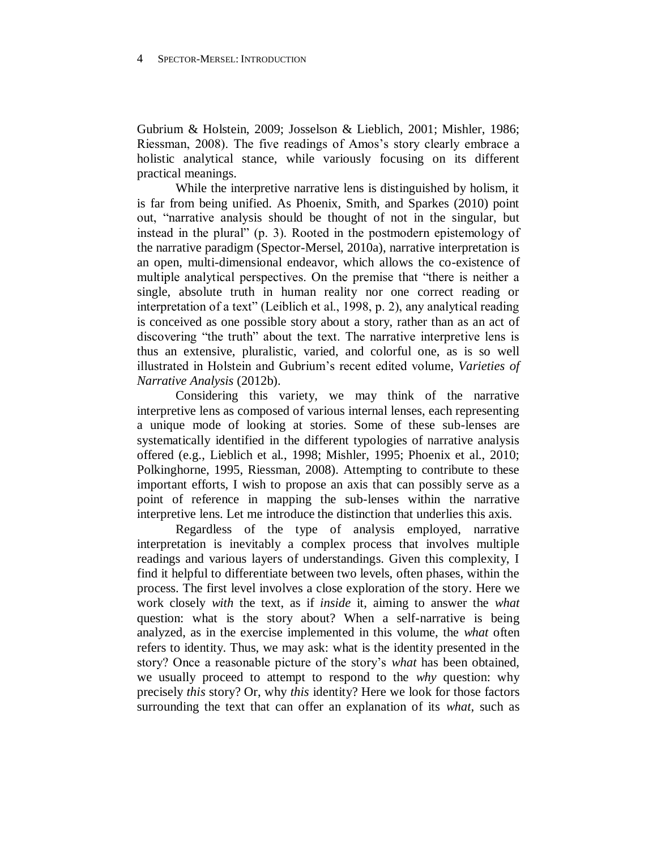Gubrium & Holstein, 2009; Josselson & Lieblich, 2001; Mishler, 1986; Riessman, 2008). The five readings of Amos's story clearly embrace a holistic analytical stance, while variously focusing on its different practical meanings.

While the interpretive narrative lens is distinguished by holism, it is far from being unified. As Phoenix, Smith, and Sparkes (2010) point out, "narrative analysis should be thought of not in the singular, but instead in the plural" (p. 3). Rooted in the postmodern epistemology of the narrative paradigm (Spector-Mersel, 2010a), narrative interpretation is an open, multi-dimensional endeavor, which allows the co-existence of multiple analytical perspectives. On the premise that "there is neither a single, absolute truth in human reality nor one correct reading or interpretation of a text" (Leiblich et al., 1998, p. 2), any analytical reading is conceived as one possible story about a story, rather than as an act of discovering "the truth" about the text. The narrative interpretive lens is thus an extensive, pluralistic, varied, and colorful one, as is so well illustrated in Holstein and Gubrium's recent edited volume, *Varieties of Narrative Analysis* (2012b).

Considering this variety, we may think of the narrative interpretive lens as composed of various internal lenses, each representing a unique mode of looking at stories. Some of these sub-lenses are systematically identified in the different typologies of narrative analysis offered (e.g., Lieblich et al., 1998; Mishler, 1995; Phoenix et al., 2010; Polkinghorne, 1995, Riessman, 2008). Attempting to contribute to these important efforts, I wish to propose an axis that can possibly serve as a point of reference in mapping the sub-lenses within the narrative interpretive lens. Let me introduce the distinction that underlies this axis.

Regardless of the type of analysis employed, narrative interpretation is inevitably a complex process that involves multiple readings and various layers of understandings. Given this complexity, I find it helpful to differentiate between two levels, often phases, within the process. The first level involves a close exploration of the story. Here we work closely *with* the text, as if *inside* it, aiming to answer the *what* question: what is the story about? When a self-narrative is being analyzed, as in the exercise implemented in this volume, the *what* often refers to identity. Thus, we may ask: what is the identity presented in the story? Once a reasonable picture of the story's *what* has been obtained, we usually proceed to attempt to respond to the *why* question: why precisely *this* story? Or, why *this* identity? Here we look for those factors surrounding the text that can offer an explanation of its *what*, such as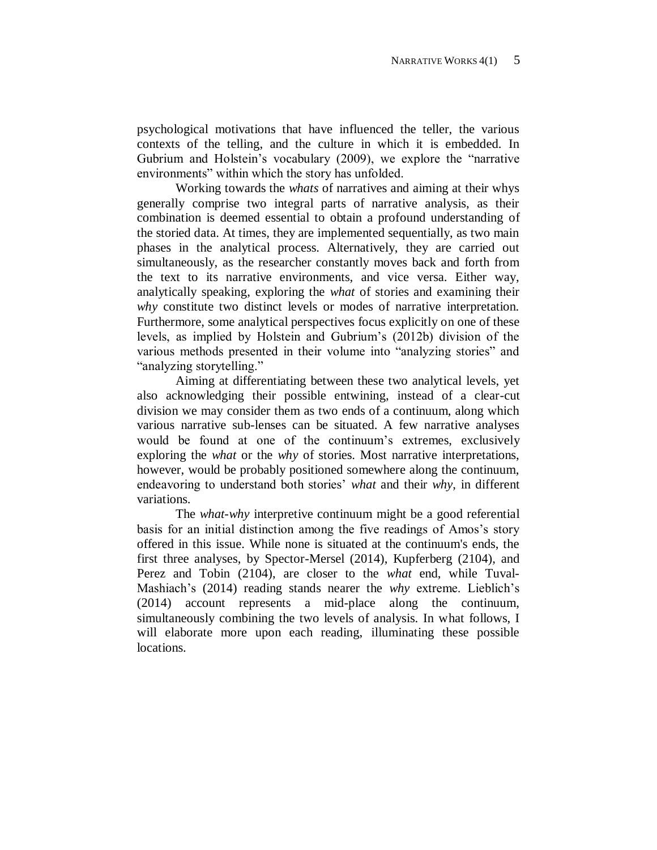psychological motivations that have influenced the teller, the various contexts of the telling, and the culture in which it is embedded. In Gubrium and Holstein's vocabulary (2009), we explore the "narrative environments" within which the story has unfolded.

Working towards the *whats* of narratives and aiming at their whys generally comprise two integral parts of narrative analysis, as their combination is deemed essential to obtain a profound understanding of the storied data. At times, they are implemented sequentially, as two main phases in the analytical process. Alternatively, they are carried out simultaneously, as the researcher constantly moves back and forth from the text to its narrative environments, and vice versa. Either way, analytically speaking, exploring the *what* of stories and examining their *why* constitute two distinct levels or modes of narrative interpretation. Furthermore, some analytical perspectives focus explicitly on one of these levels, as implied by Holstein and Gubrium's (2012b) division of the various methods presented in their volume into "analyzing stories" and "analyzing storytelling."

Aiming at differentiating between these two analytical levels, yet also acknowledging their possible entwining, instead of a clear-cut division we may consider them as two ends of a continuum, along which various narrative sub-lenses can be situated. A few narrative analyses would be found at one of the continuum's extremes, exclusively exploring the *what* or the *why* of stories. Most narrative interpretations, however, would be probably positioned somewhere along the continuum, endeavoring to understand both stories' *what* and their *why*, in different variations.

The *what-why* interpretive continuum might be a good referential basis for an initial distinction among the five readings of Amos's story offered in this issue. While none is situated at the continuum's ends, the first three analyses, by Spector-Mersel (2014), Kupferberg (2104), and Perez and Tobin (2104), are closer to the *what* end, while Tuval-Mashiach's (2014) reading stands nearer the *why* extreme. Lieblich's (2014) account represents a mid-place along the continuum, simultaneously combining the two levels of analysis. In what follows, I will elaborate more upon each reading, illuminating these possible locations.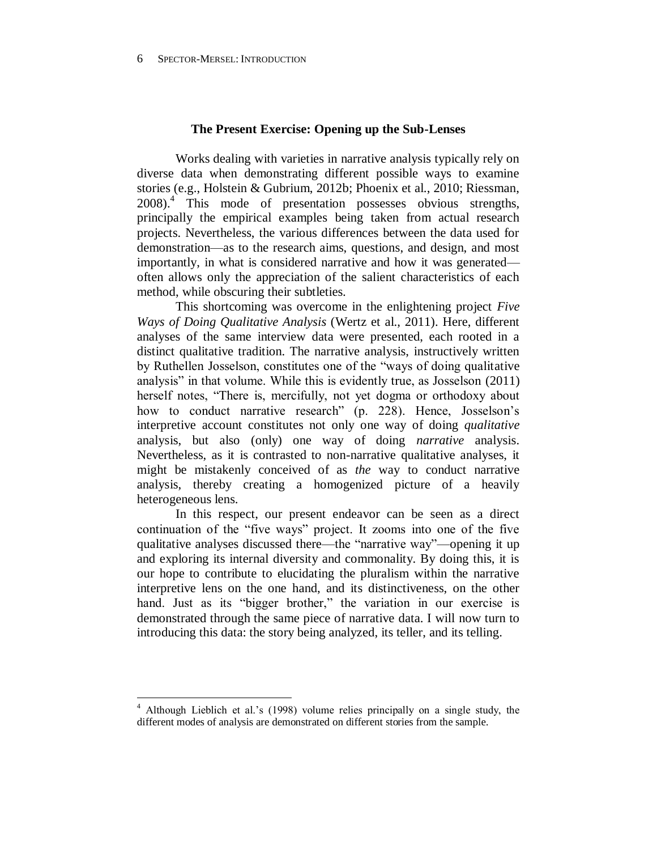### **The Present Exercise: Opening up the Sub-Lenses**

Works dealing with varieties in narrative analysis typically rely on diverse data when demonstrating different possible ways to examine stories (e.g., Holstein & Gubrium, 2012b; Phoenix et al., 2010; Riessman, 2008). 4 This mode of presentation possesses obvious strengths, principally the empirical examples being taken from actual research projects. Nevertheless, the various differences between the data used for demonstration—as to the research aims, questions, and design, and most importantly, in what is considered narrative and how it was generated often allows only the appreciation of the salient characteristics of each method, while obscuring their subtleties.

This shortcoming was overcome in the enlightening project *Five Ways of Doing Qualitative Analysis* (Wertz et al., 2011). Here, different analyses of the same interview data were presented, each rooted in a distinct qualitative tradition. The narrative analysis, instructively written by Ruthellen Josselson, constitutes one of the "ways of doing qualitative analysis" in that volume. While this is evidently true, as Josselson (2011) herself notes, "There is, mercifully, not yet dogma or orthodoxy about how to conduct narrative research" (p. 228). Hence, Josselson's interpretive account constitutes not only one way of doing *qualitative* analysis, but also (only) one way of doing *narrative* analysis. Nevertheless, as it is contrasted to non-narrative qualitative analyses, it might be mistakenly conceived of as *the* way to conduct narrative analysis, thereby creating a homogenized picture of a heavily heterogeneous lens.

In this respect, our present endeavor can be seen as a direct continuation of the "five ways" project. It zooms into one of the five qualitative analyses discussed there—the "narrative way"—opening it up and exploring its internal diversity and commonality. By doing this, it is our hope to contribute to elucidating the pluralism within the narrative interpretive lens on the one hand, and its distinctiveness, on the other hand. Just as its "bigger brother," the variation in our exercise is demonstrated through the same piece of narrative data. I will now turn to introducing this data: the story being analyzed, its teller, and its telling.

<sup>4</sup> Although Lieblich et al.'s (1998) volume relies principally on a single study, the different modes of analysis are demonstrated on different stories from the sample.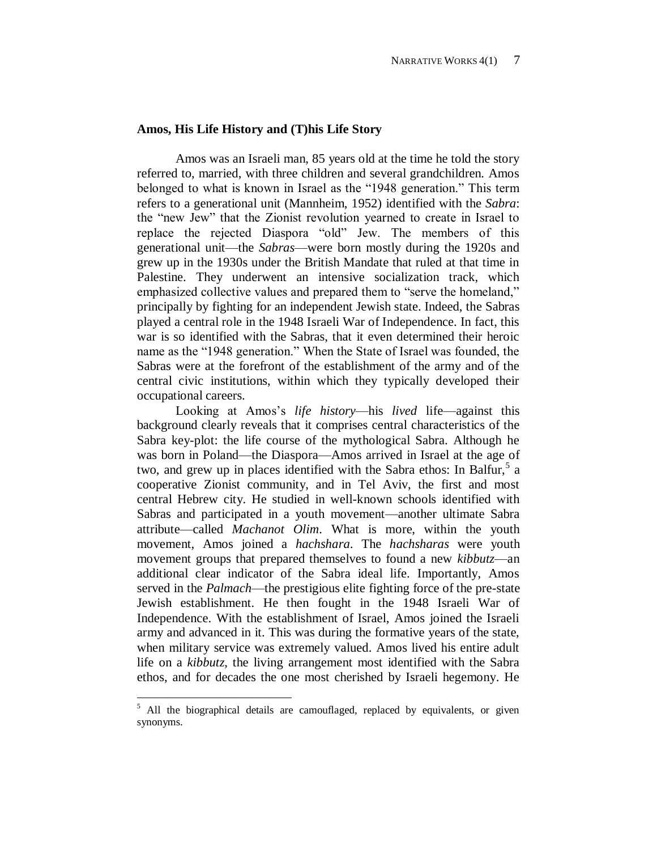### **Amos, His Life History and (T)his Life Story**

Amos was an Israeli man, 85 years old at the time he told the story referred to, married, with three children and several grandchildren. Amos belonged to what is known in Israel as the "1948 generation." This term refers to a generational unit (Mannheim, 1952) identified with the *Sabra*: the "new Jew" that the Zionist revolution yearned to create in Israel to replace the rejected Diaspora "old" Jew. The members of this generational unit—the *Sabras*—were born mostly during the 1920s and grew up in the 1930s under the British Mandate that ruled at that time in Palestine. They underwent an intensive socialization track, which emphasized collective values and prepared them to "serve the homeland," principally by fighting for an independent Jewish state. Indeed, the Sabras played a central role in the 1948 Israeli War of Independence. In fact, this war is so identified with the Sabras, that it even determined their heroic name as the "1948 generation." When the State of Israel was founded, the Sabras were at the forefront of the establishment of the army and of the central civic institutions, within which they typically developed their occupational careers.

Looking at Amos's *life history*—his *lived* life—against this background clearly reveals that it comprises central characteristics of the Sabra key-plot: the life course of the mythological Sabra. Although he was born in Poland—the Diaspora—Amos arrived in Israel at the age of two, and grew up in places identified with the Sabra ethos: In Balfur,  $5a$ cooperative Zionist community, and in Tel Aviv, the first and most central Hebrew city. He studied in well-known schools identified with Sabras and participated in a youth movement—another ultimate Sabra attribute—called *Machanot Olim*. What is more, within the youth movement, Amos joined a *hachshara*. The *hachsharas* were youth movement groups that prepared themselves to found a new *kibbutz*—an additional clear indicator of the Sabra ideal life. Importantly, Amos served in the *Palmach*—the prestigious elite fighting force of the pre-state Jewish establishment. He then fought in the 1948 Israeli War of Independence. With the establishment of Israel, Amos joined the Israeli army and advanced in it. This was during the formative years of the state, when military service was extremely valued. Amos lived his entire adult life on a *kibbutz*, the living arrangement most identified with the Sabra ethos, and for decades the one most cherished by Israeli hegemony. He

 $5$  All the biographical details are camouflaged, replaced by equivalents, or given synonyms.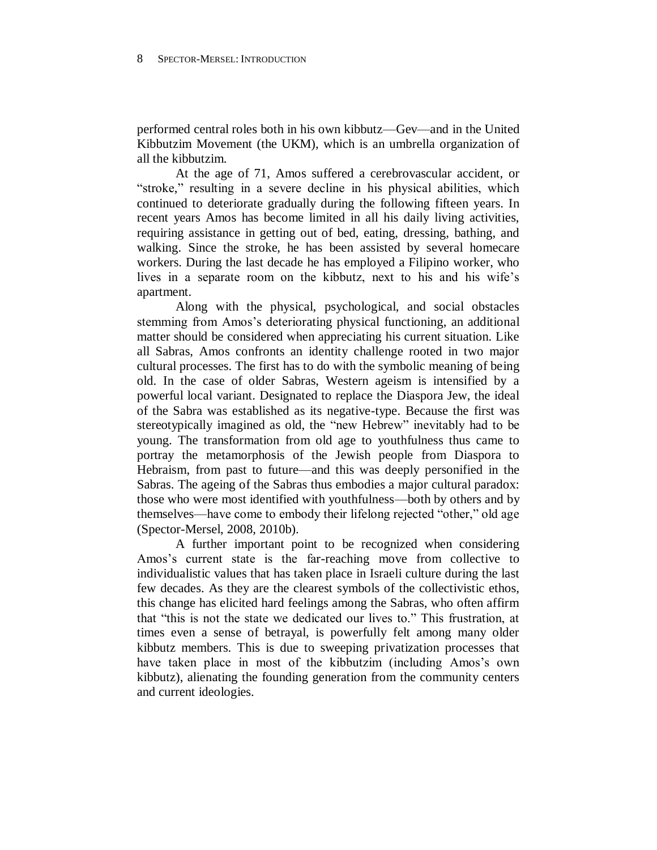performed central roles both in his own kibbutz—Gev—and in the United Kibbutzim Movement (the UKM), which is an umbrella organization of all the kibbutzim.

At the age of 71, Amos suffered a cerebrovascular accident, or "stroke," resulting in a severe decline in his physical abilities, which continued to deteriorate gradually during the following fifteen years. In recent years Amos has become limited in all his daily living activities, requiring assistance in getting out of bed, eating, dressing, bathing, and walking. Since the stroke, he has been assisted by several homecare workers. During the last decade he has employed a Filipino worker, who lives in a separate room on the kibbutz, next to his and his wife's apartment.

Along with the physical, psychological, and social obstacles stemming from Amos's deteriorating physical functioning, an additional matter should be considered when appreciating his current situation. Like all Sabras, Amos confronts an identity challenge rooted in two major cultural processes. The first has to do with the symbolic meaning of being old. In the case of older Sabras, Western ageism is intensified by a powerful local variant. Designated to replace the Diaspora Jew, the ideal of the Sabra was established as its negative-type. Because the first was stereotypically imagined as old, the "new Hebrew" inevitably had to be young. The transformation from old age to youthfulness thus came to portray the metamorphosis of the Jewish people from Diaspora to Hebraism, from past to future—and this was deeply personified in the Sabras. The ageing of the Sabras thus embodies a major cultural paradox: those who were most identified with youthfulness—both by others and by themselves—have come to embody their lifelong rejected "other," old age (Spector-Mersel, 2008, 2010b).

A further important point to be recognized when considering Amos's current state is the far-reaching move from collective to individualistic values that has taken place in Israeli culture during the last few decades. As they are the clearest symbols of the collectivistic ethos, this change has elicited hard feelings among the Sabras, who often affirm that "this is not the state we dedicated our lives to." This frustration, at times even a sense of betrayal, is powerfully felt among many older kibbutz members. This is due to sweeping privatization processes that have taken place in most of the kibbutzim (including Amos's own kibbutz), alienating the founding generation from the community centers and current ideologies.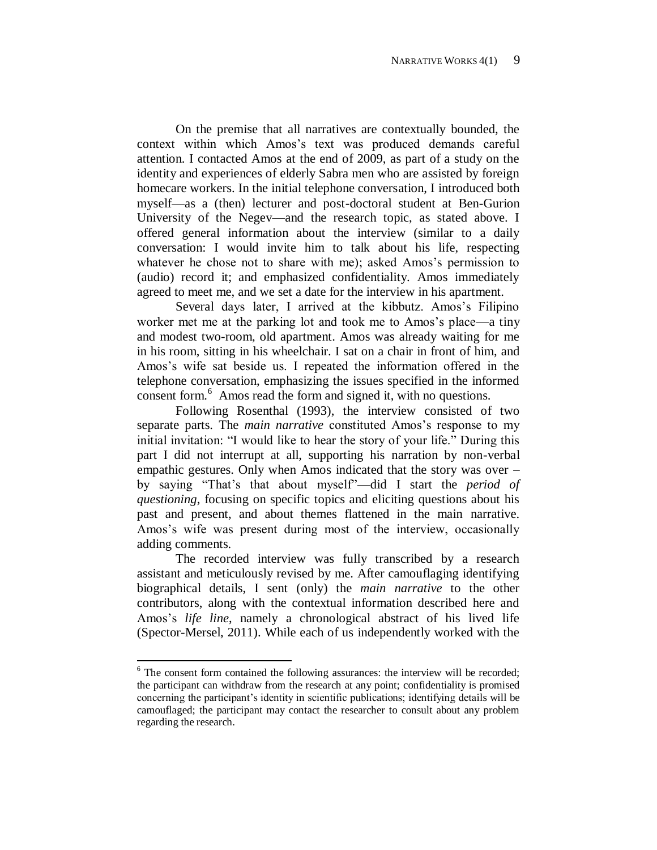On the premise that all narratives are contextually bounded, the context within which Amos's text was produced demands careful attention. I contacted Amos at the end of 2009, as part of a study on the identity and experiences of elderly Sabra men who are assisted by foreign homecare workers. In the initial telephone conversation, I introduced both myself—as a (then) lecturer and post-doctoral student at Ben-Gurion University of the Negev—and the research topic, as stated above. I offered general information about the interview (similar to a daily conversation: I would invite him to talk about his life, respecting whatever he chose not to share with me); asked Amos's permission to (audio) record it; and emphasized confidentiality. Amos immediately agreed to meet me, and we set a date for the interview in his apartment.

Several days later, I arrived at the kibbutz. Amos's Filipino worker met me at the parking lot and took me to Amos's place—a tiny and modest two-room, old apartment. Amos was already waiting for me in his room, sitting in his wheelchair. I sat on a chair in front of him, and Amos's wife sat beside us. I repeated the information offered in the telephone conversation, emphasizing the issues specified in the informed consent form.<sup>6</sup> Amos read the form and signed it, with no questions.

Following Rosenthal (1993), the interview consisted of two separate parts. The *main narrative* constituted Amos's response to my initial invitation: "I would like to hear the story of your life." During this part I did not interrupt at all, supporting his narration by non-verbal empathic gestures. Only when Amos indicated that the story was over – by saying "That's that about myself"—did I start the *period of questioning*, focusing on specific topics and eliciting questions about his past and present, and about themes flattened in the main narrative. Amos's wife was present during most of the interview, occasionally adding comments.

The recorded interview was fully transcribed by a research assistant and meticulously revised by me. After camouflaging identifying biographical details, I sent (only) the *main narrative* to the other contributors, along with the contextual information described here and Amos's *life line*, namely a chronological abstract of his lived life (Spector-Mersel, 2011). While each of us independently worked with the

<sup>&</sup>lt;sup>6</sup> The consent form contained the following assurances: the interview will be recorded; the participant can withdraw from the research at any point; confidentiality is promised concerning the participant's identity in scientific publications; identifying details will be camouflaged; the participant may contact the researcher to consult about any problem regarding the research.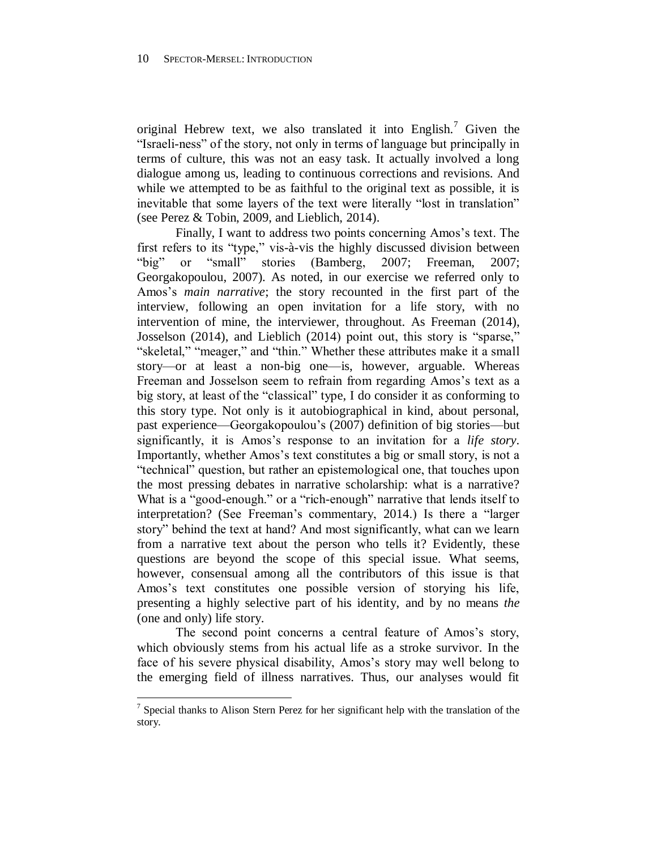original Hebrew text, we also translated it into English.<sup>7</sup> Given the "Israeli-ness" of the story, not only in terms of language but principally in terms of culture, this was not an easy task. It actually involved a long dialogue among us, leading to continuous corrections and revisions. And while we attempted to be as faithful to the original text as possible, it is inevitable that some layers of the text were literally "lost in translation" (see Perez & Tobin, 2009, and Lieblich, 2014).

Finally, I want to address two points concerning Amos's text. The first refers to its "type," vis-à-vis the highly discussed division between "big" or "small" stories (Bamberg, 2007; Freeman, 2007; Georgakopoulou, 2007). As noted, in our exercise we referred only to Amos's *main narrative*; the story recounted in the first part of the interview, following an open invitation for a life story, with no intervention of mine, the interviewer, throughout. As Freeman (2014), Josselson (2014), and Lieblich (2014) point out, this story is "sparse," "skeletal," "meager," and "thin." Whether these attributes make it a small story—or at least a non-big one—is, however, arguable. Whereas Freeman and Josselson seem to refrain from regarding Amos's text as a big story, at least of the "classical" type, I do consider it as conforming to this story type. Not only is it autobiographical in kind, about personal, past experience—Georgakopoulou's (2007) definition of big stories—but significantly, it is Amos's response to an invitation for a *life story*. Importantly, whether Amos's text constitutes a big or small story, is not a "technical" question, but rather an epistemological one, that touches upon the most pressing debates in narrative scholarship: what is a narrative? What is a "good-enough." or a "rich-enough" narrative that lends itself to interpretation? (See Freeman's commentary, 2014.) Is there a "larger story" behind the text at hand? And most significantly, what can we learn from a narrative text about the person who tells it? Evidently, these questions are beyond the scope of this special issue. What seems, however, consensual among all the contributors of this issue is that Amos's text constitutes one possible version of storying his life, presenting a highly selective part of his identity, and by no means *the*  (one and only) life story.

The second point concerns a central feature of Amos's story, which obviously stems from his actual life as a stroke survivor. In the face of his severe physical disability, Amos's story may well belong to the emerging field of illness narratives. Thus, our analyses would fit

<sup>&</sup>lt;sup>7</sup> Special thanks to Alison Stern Perez for her significant help with the translation of the story.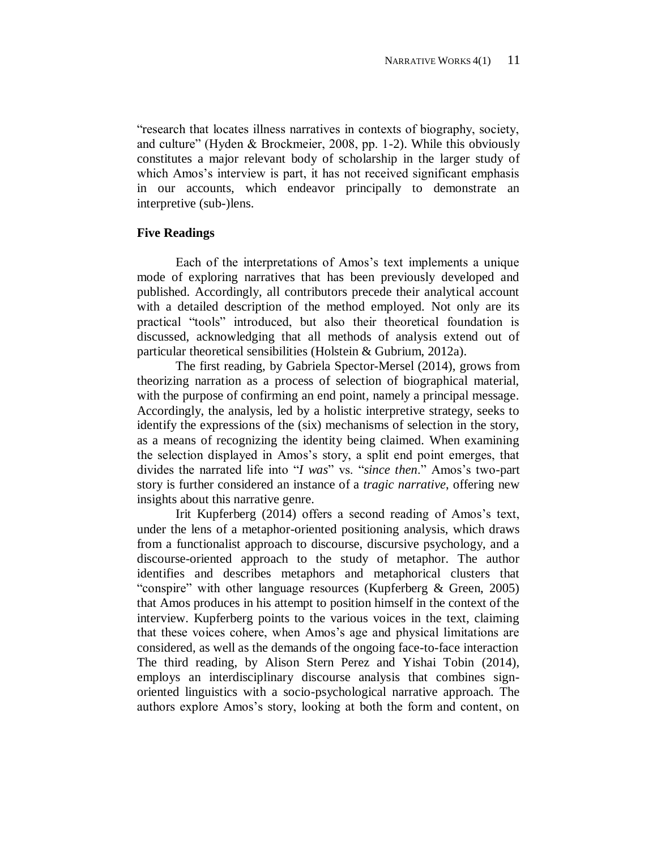"research that locates illness narratives in contexts of biography, society, and culture" (Hyden & Brockmeier, 2008, pp. 1-2). While this obviously constitutes a major relevant body of scholarship in the larger study of which Amos's interview is part, it has not received significant emphasis in our accounts, which endeavor principally to demonstrate an interpretive (sub-)lens.

## **Five Readings**

Each of the interpretations of Amos's text implements a unique mode of exploring narratives that has been previously developed and published. Accordingly, all contributors precede their analytical account with a detailed description of the method employed. Not only are its practical "tools" introduced, but also their theoretical foundation is discussed, acknowledging that all methods of analysis extend out of particular theoretical sensibilities (Holstein & Gubrium, 2012a).

The first reading, by Gabriela Spector-Mersel (2014), grows from theorizing narration as a process of selection of biographical material, with the purpose of confirming an end point, namely a principal message. Accordingly, the analysis, led by a holistic interpretive strategy, seeks to identify the expressions of the (six) mechanisms of selection in the story, as a means of recognizing the identity being claimed. When examining the selection displayed in Amos's story, a split end point emerges, that divides the narrated life into "*I was*" vs. "*since then*." Amos's two-part story is further considered an instance of a *tragic narrative*, offering new insights about this narrative genre.

Irit Kupferberg (2014) offers a second reading of Amos's text, under the lens of a metaphor-oriented positioning analysis, which draws from a functionalist approach to discourse, discursive psychology, and a discourse-oriented approach to the study of metaphor. The author identifies and describes metaphors and metaphorical clusters that "conspire" with other language resources (Kupferberg & Green, 2005) that Amos produces in his attempt to position himself in the context of the interview. Kupferberg points to the various voices in the text, claiming that these voices cohere, when Amos's age and physical limitations are considered, as well as the demands of the ongoing face-to-face interaction The third reading, by Alison Stern Perez and Yishai Tobin (2014), employs an interdisciplinary discourse analysis that combines signoriented linguistics with a socio-psychological narrative approach. The authors explore Amos's story, looking at both the form and content, on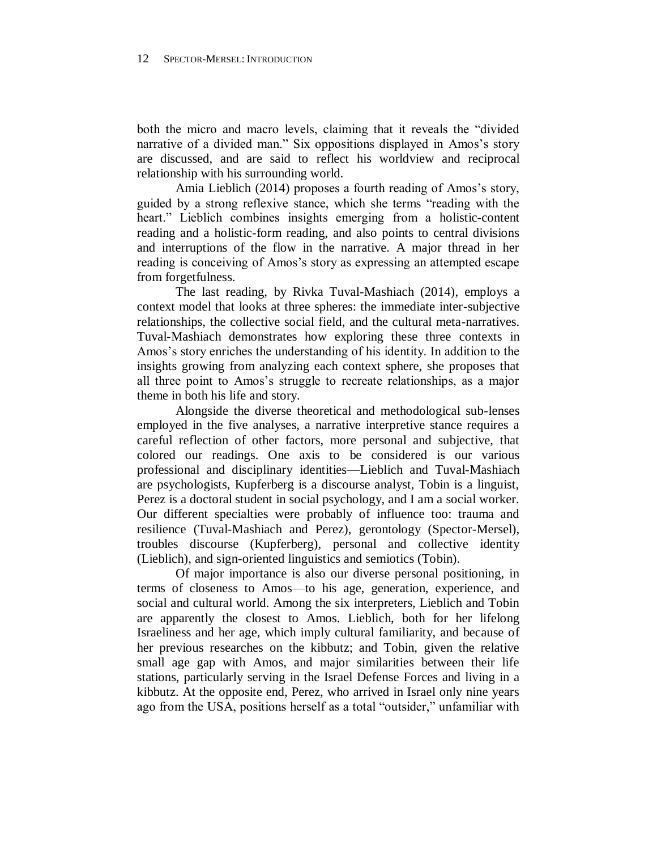both the micro and macro levels, claiming that it reveals the "divided narrative of a divided man." Six oppositions displayed in Amos's story are discussed, and are said to reflect his worldview and reciprocal relationship with his surrounding world.

Amia Lieblich (2014) proposes a fourth reading of Amos's story, guided by a strong reflexive stance, which she terms "reading with the heart." Lieblich combines insights emerging from a holistic-content reading and a holistic-form reading, and also points to central divisions and interruptions of the flow in the narrative. A major thread in her reading is conceiving of Amos's story as expressing an attempted escape from forgetfulness.

The last reading, by Rivka Tuval-Mashiach (2014), employs a context model that looks at three spheres: the immediate inter-subjective relationships, the collective social field, and the cultural meta-narratives. Tuval-Mashiach demonstrates how exploring these three contexts in Amos's story enriches the understanding of his identity. In addition to the insights growing from analyzing each context sphere, she proposes that all three point to Amos's struggle to recreate relationships, as a major theme in both his life and story.

Alongside the diverse theoretical and methodological sub-lenses employed in the five analyses, a narrative interpretive stance requires a careful reflection of other factors, more personal and subjective, that colored our readings. One axis to be considered is our various professional and disciplinary identities—Lieblich and Tuval-Mashiach are psychologists, Kupferberg is a discourse analyst, Tobin is a linguist, Perez is a doctoral student in social psychology, and I am a social worker. Our different specialties were probably of influence too: trauma and resilience (Tuval-Mashiach and Perez), gerontology (Spector-Mersel), troubles discourse (Kupferberg), personal and collective identity (Lieblich), and sign-oriented linguistics and semiotics (Tobin).

Of major importance is also our diverse personal positioning, in terms of closeness to Amos—to his age, generation, experience, and social and cultural world. Among the six interpreters, Lieblich and Tobin are apparently the closest to Amos. Lieblich, both for her lifelong Israeliness and her age, which imply cultural familiarity, and because of her previous researches on the kibbutz; and Tobin, given the relative small age gap with Amos, and major similarities between their life stations, particularly serving in the Israel Defense Forces and living in a kibbutz. At the opposite end, Perez, who arrived in Israel only nine years ago from the USA, positions herself as a total "outsider," unfamiliar with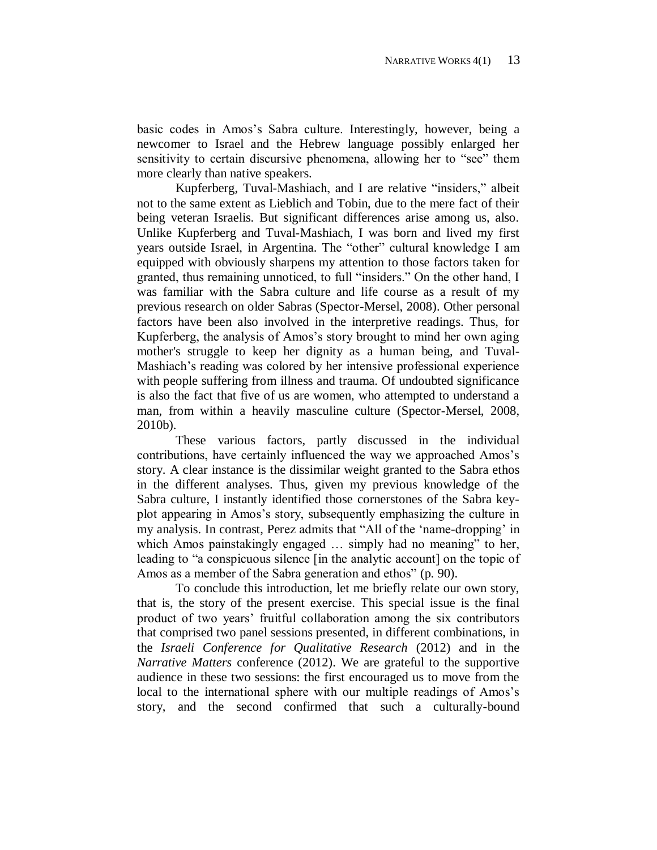basic codes in Amos's Sabra culture. Interestingly, however, being a newcomer to Israel and the Hebrew language possibly enlarged her sensitivity to certain discursive phenomena, allowing her to "see" them more clearly than native speakers.

Kupferberg, Tuval-Mashiach, and I are relative "insiders," albeit not to the same extent as Lieblich and Tobin, due to the mere fact of their being veteran Israelis. But significant differences arise among us, also. Unlike Kupferberg and Tuval-Mashiach, I was born and lived my first years outside Israel, in Argentina. The "other" cultural knowledge I am equipped with obviously sharpens my attention to those factors taken for granted, thus remaining unnoticed, to full "insiders." On the other hand, I was familiar with the Sabra culture and life course as a result of my previous research on older Sabras (Spector-Mersel, 2008). Other personal factors have been also involved in the interpretive readings. Thus, for Kupferberg, the analysis of Amos's story brought to mind her own aging mother's struggle to keep her dignity as a human being, and Tuval-Mashiach's reading was colored by her intensive professional experience with people suffering from illness and trauma. Of undoubted significance is also the fact that five of us are women, who attempted to understand a man, from within a heavily masculine culture (Spector-Mersel, 2008, 2010b).

These various factors, partly discussed in the individual contributions, have certainly influenced the way we approached Amos's story. A clear instance is the dissimilar weight granted to the Sabra ethos in the different analyses. Thus, given my previous knowledge of the Sabra culture, I instantly identified those cornerstones of the Sabra keyplot appearing in Amos's story, subsequently emphasizing the culture in my analysis. In contrast, Perez admits that "All of the 'name-dropping' in which Amos painstakingly engaged ... simply had no meaning" to her, leading to "a conspicuous silence [in the analytic account] on the topic of Amos as a member of the Sabra generation and ethos" (p. 90).

To conclude this introduction, let me briefly relate our own story, that is, the story of the present exercise. This special issue is the final product of two years' fruitful collaboration among the six contributors that comprised two panel sessions presented, in different combinations, in the *Israeli Conference for Qualitative Research* (2012) and in the *Narrative Matters* conference (2012). We are grateful to the supportive audience in these two sessions: the first encouraged us to move from the local to the international sphere with our multiple readings of Amos's story, and the second confirmed that such a culturally-bound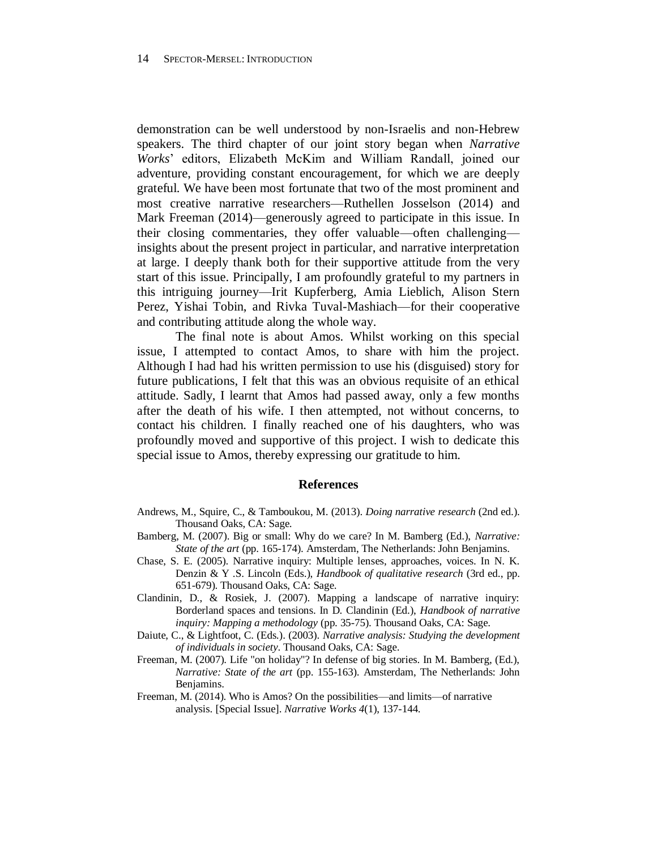demonstration can be well understood by non-Israelis and non-Hebrew speakers. The third chapter of our joint story began when *Narrative Works*' editors, Elizabeth McKim and William Randall, joined our adventure, providing constant encouragement, for which we are deeply grateful. We have been most fortunate that two of the most prominent and most creative narrative researchers—Ruthellen Josselson (2014) and Mark Freeman (2014)—generously agreed to participate in this issue. In their closing commentaries, they offer valuable—often challenging insights about the present project in particular, and narrative interpretation at large. I deeply thank both for their supportive attitude from the very start of this issue. Principally, I am profoundly grateful to my partners in this intriguing journey—Irit Kupferberg, Amia Lieblich, Alison Stern Perez, Yishai Tobin, and Rivka Tuval-Mashiach—for their cooperative and contributing attitude along the whole way.

The final note is about Amos. Whilst working on this special issue, I attempted to contact Amos, to share with him the project. Although I had had his written permission to use his (disguised) story for future publications, I felt that this was an obvious requisite of an ethical attitude. Sadly, I learnt that Amos had passed away, only a few months after the death of his wife. I then attempted, not without concerns, to contact his children. I finally reached one of his daughters, who was profoundly moved and supportive of this project. I wish to dedicate this special issue to Amos, thereby expressing our gratitude to him.

#### **References**

- Andrews, M., Squire, C., & Tamboukou, M. (2013). *Doing narrative research* (2nd ed.). Thousand Oaks, CA: Sage.
- Bamberg, M. (2007). Big or small: Why do we care? In M. Bamberg (Ed.), *Narrative: State of the art* (pp. 165-174). Amsterdam, The Netherlands: John Benjamins.
- Chase, S. E. (2005). Narrative inquiry: Multiple lenses, approaches, voices. In N. K. Denzin & Y .S. Lincoln (Eds.), *Handbook of qualitative research* (3rd ed., pp. 651-679). Thousand Oaks, CA: Sage.
- Clandinin, D., & Rosiek, J. (2007). Mapping a landscape of narrative inquiry: Borderland spaces and tensions. In D. Clandinin (Ed.), *Handbook of narrative inquiry: Mapping a methodology* (pp. 35-75). Thousand Oaks, CA: Sage.
- Daiute, C., & Lightfoot, C. (Eds.). (2003). *Narrative analysis: Studying the development of individuals in society*. Thousand Oaks, CA: Sage.
- Freeman, M. (2007). Life "on holiday"? In defense of big stories. In M. Bamberg, (Ed.), *Narrative: State of the art* (pp. 155-163). Amsterdam, The Netherlands: John Benjamins.
- Freeman, M. (2014). Who is Amos? On the possibilities—and limits—of narrative analysis. [Special Issue]. *Narrative Works 4*(1), 137-144.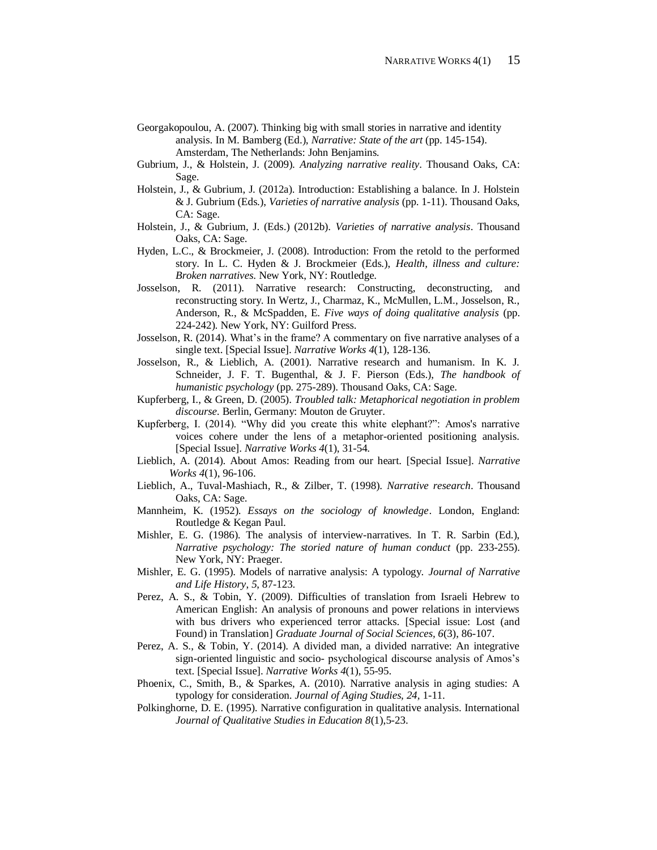- Georgakopoulou, A. (2007). Thinking big with small stories in narrative and identity analysis. In M. Bamberg (Ed.), *Narrative: State of the art* (pp. 145-154). Amsterdam, The Netherlands: John Benjamins.
- Gubrium, J., & Holstein, J. (2009). *Analyzing narrative reality*. Thousand Oaks, CA: Sage.
- Holstein, J., & Gubrium, J. (2012a). Introduction: Establishing a balance. In J. Holstein & J. Gubrium (Eds.), *Varieties of narrative analysis* (pp. 1-11). Thousand Oaks, CA: Sage.
- Holstein, J., & Gubrium, J. (Eds.) (2012b). *Varieties of narrative analysis*. Thousand Oaks, CA: Sage.
- Hyden, L.C., & Brockmeier, J. (2008). Introduction: From the retold to the performed story. In L. C. Hyden & J. Brockmeier (Eds.), *Health, illness and culture: Broken narratives*. New York, NY: Routledge.
- Josselson, R. (2011). Narrative research: Constructing, deconstructing, and reconstructing story. In Wertz, J., Charmaz, K., McMullen, L.M., Josselson, R., Anderson, R., & McSpadden, E. *Five ways of doing qualitative analysis* (pp. 224-242). New York, NY: Guilford Press.
- Josselson, R. (2014). What's in the frame? A commentary on five narrative analyses of a single text. [Special Issue]. *Narrative Works 4*(1), 128-136.
- Josselson, R., & Lieblich, A. (2001). Narrative research and humanism. In K. J. Schneider, J. F. T. Bugenthal, & J. F. Pierson (Eds.), *The handbook of humanistic psychology* (pp. 275-289). Thousand Oaks, CA: Sage.
- Kupferberg, I., & Green, D. (2005). *Troubled talk: Metaphorical negotiation in problem discourse*. Berlin, Germany: Mouton de Gruyter.
- Kupferberg, I. (2014). "Why did you create this white elephant?": Amos's narrative voices cohere under the lens of a metaphor-oriented positioning analysis. [Special Issue]. *Narrative Works 4*(1), 31-54.
- Lieblich, A. (2014). About Amos: Reading from our heart. [Special Issue]. *Narrative Works 4*(1), 96-106.
- Lieblich, A., Tuval-Mashiach, R., & Zilber, T. (1998). *Narrative research*. Thousand Oaks, CA: Sage.
- Mannheim, K. (1952). *Essays on the sociology of knowledge*. London, England: Routledge & Kegan Paul.
- Mishler, E. G. (1986). The analysis of interview-narratives. In T. R. Sarbin (Ed.), *Narrative psychology: The storied nature of human conduct* (pp. 233-255). New York, NY: Praeger.
- Mishler, E. G. (1995). Models of narrative analysis: A typology. *Journal of Narrative and Life History*, *5*, 87-123.
- Perez, A. S., & Tobin, Y. (2009). Difficulties of translation from Israeli Hebrew to American English: An analysis of pronouns and power relations in interviews with bus drivers who experienced terror attacks. [Special issue: Lost (and Found) in Translation] *Graduate Journal of Social Sciences, 6*(3), 86-107.
- Perez, A. S., & Tobin, Y. (2014). A divided man, a divided narrative: An integrative sign-oriented linguistic and socio- psychological discourse analysis of Amos's text. [Special Issue]. *Narrative Works 4*(1), 55-95.
- Phoenix, C., Smith, B., & Sparkes, A. (2010). Narrative analysis in aging studies: A typology for consideration. *Journal of Aging Studies, 24,* 1-11.
- Polkinghorne, D. E. (1995). Narrative configuration in qualitative analysis. International *Journal of Qualitative Studies in Education 8*(1),5-23.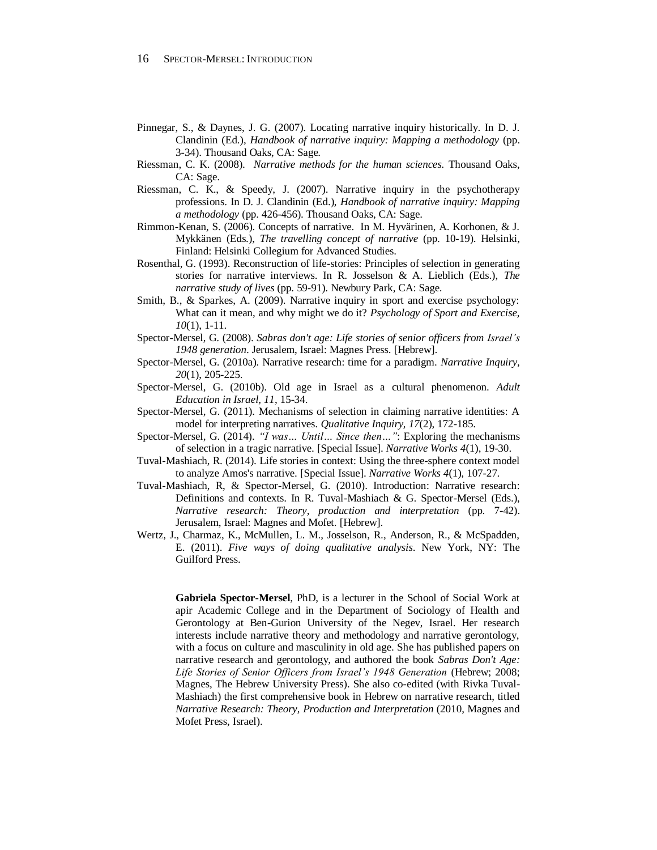- Pinnegar, S., & Daynes, J. G. (2007). Locating narrative inquiry historically. In D. J. Clandinin (Ed.), *Handbook of narrative inquiry: Mapping a methodology* (pp. 3-34). Thousand Oaks, CA: Sage.
- Riessman, C. K. (2008). *Narrative methods for the human sciences.* Thousand Oaks, CA: Sage.
- Riessman, C. K., & Speedy, J. (2007). Narrative inquiry in the psychotherapy professions. In D. J. Clandinin (Ed.), *Handbook of narrative inquiry: Mapping a methodology* (pp. 426-456). Thousand Oaks, CA: Sage.
- Rimmon-Kenan, S. (2006). Concepts of narrative. In M. Hyvärinen, A. Korhonen, & J. Mykkänen (Eds.), *The travelling concept of narrative* (pp. 10-19). Helsinki, Finland: Helsinki Collegium for Advanced Studies.
- Rosenthal, G. (1993). Reconstruction of life-stories: Principles of selection in generating stories for narrative interviews. In R. Josselson & A. Lieblich (Eds.), *The narrative study of lives* (pp. 59-91). Newbury Park, CA: Sage.
- Smith, B., & Sparkes, A. (2009). Narrative inquiry in sport and exercise psychology: What can it mean, and why might we do it? *Psychology of Sport and Exercise, 10*(1), 1-11.
- Spector-Mersel, G. (2008). *Sabras don't age: Life stories of senior officers from Israel's 1948 generation*. Jerusalem, Israel: Magnes Press. [Hebrew].
- Spector-Mersel, G. (2010a). Narrative research: time for a paradigm. *Narrative Inquiry, 20*(1), 205-225.
- Spector-Mersel, G. (2010b). Old age in Israel as a cultural phenomenon. *Adult Education in Israel, 11*, 15-34.
- Spector-Mersel, G. (2011). Mechanisms of selection in claiming narrative identities: A model for interpreting narratives. *Qualitative Inquiry, 17*(2), 172-185.
- Spector-Mersel, G. (2014). *"I was… Until… Since then…"*: Exploring the mechanisms of selection in a tragic narrative. [Special Issue]. *Narrative Works 4*(1), 19-30.
- Tuval-Mashiach, R. (2014). Life stories in context: Using the three-sphere context model to analyze Amos's narrative. [Special Issue]. *Narrative Works 4*(1), 107-27.
- Tuval-Mashiach, R, & Spector-Mersel, G. (2010). Introduction: Narrative research: Definitions and contexts. In R. Tuval-Mashiach & G. Spector-Mersel (Eds.), *Narrative research: Theory, production and interpretation* (pp. 7-42). Jerusalem, Israel: Magnes and Mofet. [Hebrew].
- Wertz, J., Charmaz, K., McMullen, L. M., Josselson, R., Anderson, R., & McSpadden, E. (2011). *Five ways of doing qualitative analysis*. New York, NY: The Guilford Press.

**Gabriela Spector-Mersel**, PhD, is a lecturer in the School of Social Work at apir Academic College and in the Department of Sociology of Health and Gerontology at Ben-Gurion University of the Negev, Israel. Her research interests include narrative theory and methodology and narrative gerontology, with a focus on culture and masculinity in old age. She has published papers on narrative research and gerontology, and authored the book *Sabras Don't Age: Life Stories of Senior Officers from Israel's 1948 Generation* (Hebrew; 2008; Magnes, The Hebrew University Press). She also co-edited (with Rivka Tuval-Mashiach) the first comprehensive book in Hebrew on narrative research, titled *Narrative Research: Theory, Production and Interpretation* (2010, Magnes and Mofet Press, Israel).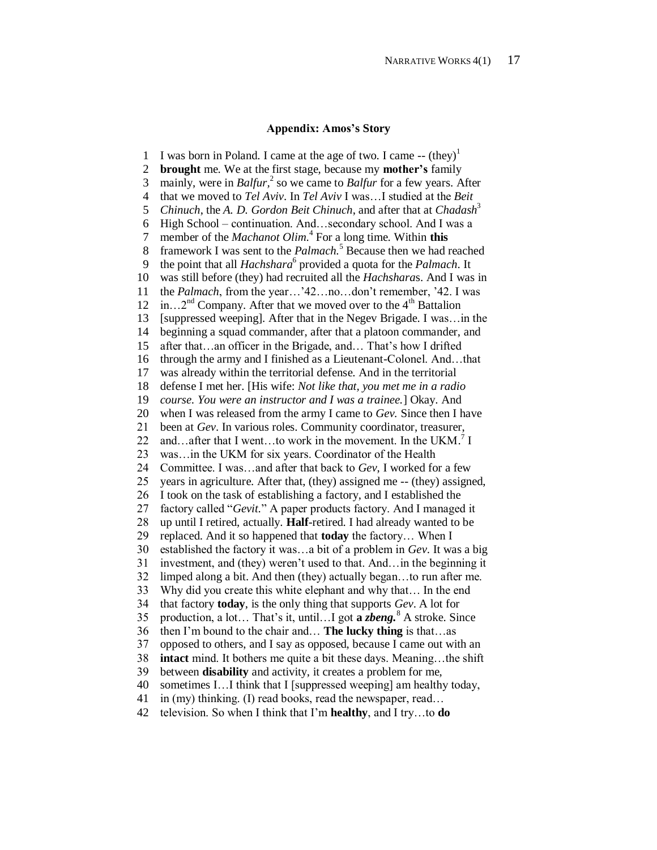### **Appendix: Amos's Story**

1 2 3 4 5 6 7 8 9 10 11 12 13 14 15 16 17 18 19 20 21 22 23 24 25 26 27 28 29 30 31 32 33  $34$ 35 36 37 38 39 40 41 42 I was born in Poland. I came at the age of two. I came  $-$  (they)<sup>1</sup> **brought** me. We at the first stage, because my **mother's** family mainly, were in *Balfur,* 2 so we came to *Balfur* for a few years. After that we moved to *Tel Aviv*. In *Tel Aviv* I was…I studied at the *Beit Chinuch*, the *A. D. Gordon Beit Chinuch*, and after that at *Chadash*<sup>3</sup> High School – continuation. And…secondary school. And I was a member of the *Machanot Olim.* 4 For a long time. Within **this** framework I was sent to the *Palmach.* <sup>5</sup> Because then we had reached the point that all *Hachshara*<sup>6</sup> provided a quota for the *Palmach*. It was still before (they) had recruited all the *Hachshara*s. And I was in the *Palmach*, from the year…'42…no…don't remember, '42. I was in...2<sup>nd</sup> Company. After that we moved over to the  $4<sup>th</sup>$  Battalion [suppressed weeping]. After that in the Negev Brigade. I was…in the beginning a squad commander, after that a platoon commander, and after that…an officer in the Brigade, and… That's how I drifted through the army and I finished as a Lieutenant-Colonel. And…that was already within the territorial defense. And in the territorial defense I met her. [His wife: *Not like that, you met me in a radio course. You were an instructor and I was a trainee.*] Okay. And when I was released from the army I came to *Gev.* Since then I have been at *Gev*. In various roles. Community coordinator, treasurer, and...after that I went...to work in the movement. In the UKM.<sup>7</sup> I was…in the UKM for six years. Coordinator of the Health Committee. I was…and after that back to *Gev*, I worked for a few years in agriculture. After that, (they) assigned me -- (they) assigned, I took on the task of establishing a factory, and I established the factory called "*Gevit.*" A paper products factory. And I managed it up until I retired, actually. **Half**-retired. I had already wanted to be replaced. And it so happened that **today** the factory… When I established the factory it was…a bit of a problem in *Gev*. It was a big investment, and (they) weren't used to that. And…in the beginning it limped along a bit. And then (they) actually began…to run after me. Why did you create this white elephant and why that… In the end that factory **today**, is the only thing that supports *Gev*. A lot for production, a lot… That's it, until…I got **a** *zbeng.* <sup>8</sup> A stroke. Since then I'm bound to the chair and… **The lucky thing** is that…as opposed to others, and I say as opposed, because I came out with an **intact** mind. It bothers me quite a bit these days. Meaning...the shift between **disability** and activity, it creates a problem for me, sometimes I...I think that I [suppressed weeping] am healthy today, in (my) thinking. (I) read books, read the newspaper, read… television. So when I think that I'm **healthy**, and I try…to **do**